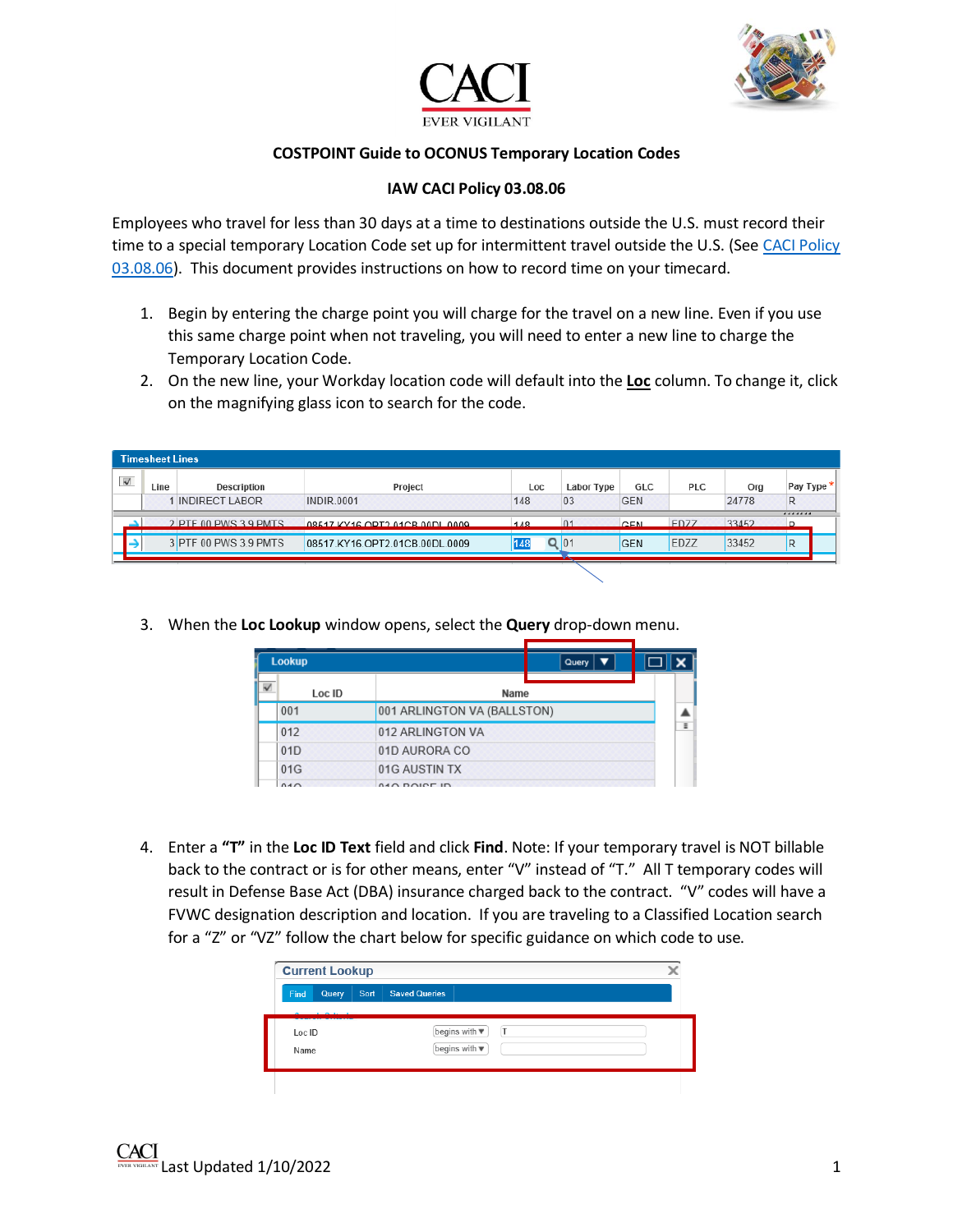



## **COSTPOINT Guide to OCONUS Temporary Location Codes**

## **IAW CACI Policy 03.08.06**

Employees who travel for less than 30 days at a time to destinations outside the U.S. must record their time to a special temporary Location Code set up for intermittent travel outside the U.S. (See [CACI Policy](https://caci.servicenowservices.com/caci?id=kb_article&sys_id=731848c8db850490e79d32dc7c961927)  [03.08.06\)](https://caci.servicenowservices.com/caci?id=kb_article&sys_id=731848c8db850490e79d32dc7c961927). This document provides instructions on how to record time on your timecard.

- 1. Begin by entering the charge point you will charge for the travel on a new line. Even if you use this same charge point when not traveling, you will need to enter a new line to charge the Temporary Location Code.
- 2. On the new line, your Workday location code will default into the **Loc** column. To change it, click on the magnifying glass icon to search for the code.

|                         | <b>Timesheet Lines</b> |                       |                                |               |            |            |             |       |            |
|-------------------------|------------------------|-----------------------|--------------------------------|---------------|------------|------------|-------------|-------|------------|
| $\overline{\mathbf{v}}$ | Line                   | Description           | Project                        | Loc           | Labor Type | GLC        | <b>PLC</b>  | Org   | Pay Type * |
|                         |                        | <b>INDIRECT LABOR</b> | <b>INDIR.0001</b>              | 148           | 03         | <b>GEN</b> |             | 24778 | R          |
|                         |                        | 2 PTF 00 PWS 3.9 PMTS | 08517 KY16 OPT2 01CB 00DL 0009 | 148           | 01         | <b>GEN</b> | <b>FD77</b> | 33452 | <br>D      |
|                         |                        | 3 PTF 00 PWS 3.9 PMTS | 08517.KY16.OPT2.01CB.00DL.0009 | $Q$ 01<br>148 |            | <b>GEN</b> | EDZZ        | 33452 | R          |
|                         |                        |                       |                                |               |            |            |             |       |            |

3. When the **Loc Lookup** window opens, select the **Query** drop-down menu.

|                      | <b>Lookup</b> |                             | Query |   |
|----------------------|---------------|-----------------------------|-------|---|
| $\ddot{\phantom{0}}$ | Loc ID        | Name                        |       |   |
|                      | 001           | 001 ARLINGTON VA (BALLSTON) |       |   |
|                      | 012           | 012 ARLINGTON VA            |       | Ξ |
|                      | 01D           | 01D AURORA CO               |       |   |
|                      | 01G           | 01G AUSTIN TX               |       |   |
|                      | 040           | <b>ALO DOICE ID</b>         |       |   |

4. Enter a **"T"** in the **Loc ID Text** field and click **Find**. Note: If your temporary travel is NOT billable back to the contract or is for other means, enter "V" instead of "T." All T temporary codes will result in Defense Base Act (DBA) insurance charged back to the contract. "V" codes will have a FVWC designation description and location. If you are traveling to a Classified Location search for a "Z" or "VZ" follow the chart below for specific guidance on which code to use.

| Find           | Query  | Sort | <b>Saved Queries</b>                                        |  |
|----------------|--------|------|-------------------------------------------------------------|--|
| Loc ID<br>Name | $\sim$ |      | begins with $\blacktriangledown$<br>$\top$<br>begins with ▼ |  |

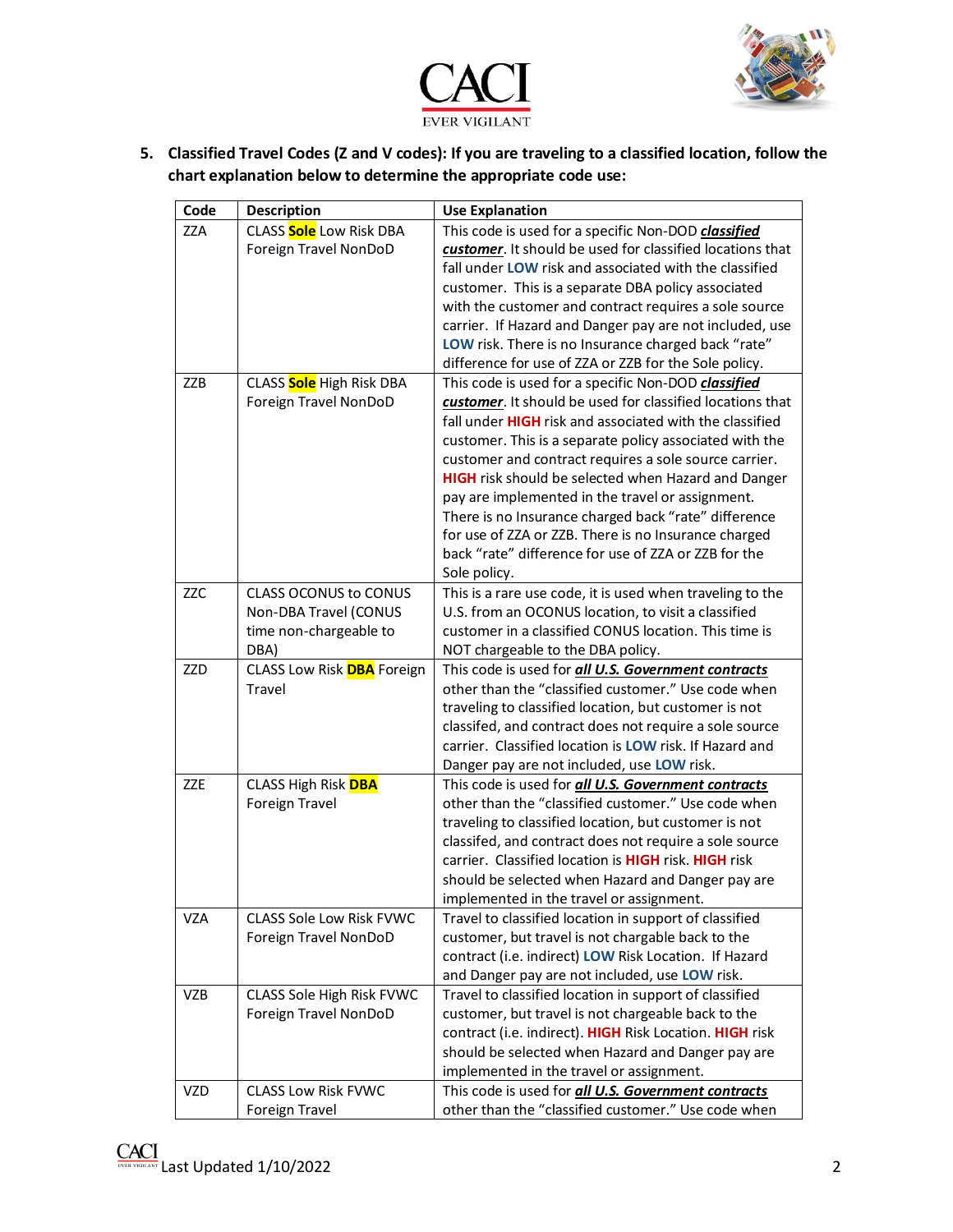



**5. Classified Travel Codes (Z and V codes): If you are traveling to a classified location, follow the chart explanation below to determine the appropriate code use:** 

| Code       | <b>Description</b>                                                                      | <b>Use Explanation</b>                                                                                                                                                                                                                                                                                                                                                                                                                                                                                                                                                                                           |
|------------|-----------------------------------------------------------------------------------------|------------------------------------------------------------------------------------------------------------------------------------------------------------------------------------------------------------------------------------------------------------------------------------------------------------------------------------------------------------------------------------------------------------------------------------------------------------------------------------------------------------------------------------------------------------------------------------------------------------------|
| <b>ZZA</b> | CLASS Sole Low Risk DBA<br>Foreign Travel NonDoD                                        | This code is used for a specific Non-DOD classified<br>customer. It should be used for classified locations that<br>fall under LOW risk and associated with the classified<br>customer. This is a separate DBA policy associated<br>with the customer and contract requires a sole source<br>carrier. If Hazard and Danger pay are not included, use<br>LOW risk. There is no Insurance charged back "rate"<br>difference for use of ZZA or ZZB for the Sole policy.                                                                                                                                             |
| ZZB        | CLASS Sole High Risk DBA<br>Foreign Travel NonDoD                                       | This code is used for a specific Non-DOD classified<br>customer. It should be used for classified locations that<br>fall under <b>HIGH</b> risk and associated with the classified<br>customer. This is a separate policy associated with the<br>customer and contract requires a sole source carrier.<br><b>HIGH</b> risk should be selected when Hazard and Danger<br>pay are implemented in the travel or assignment.<br>There is no Insurance charged back "rate" difference<br>for use of ZZA or ZZB. There is no Insurance charged<br>back "rate" difference for use of ZZA or ZZB for the<br>Sole policy. |
| <b>ZZC</b> | <b>CLASS OCONUS to CONUS</b><br>Non-DBA Travel (CONUS<br>time non-chargeable to<br>DBA) | This is a rare use code, it is used when traveling to the<br>U.S. from an OCONUS location, to visit a classified<br>customer in a classified CONUS location. This time is<br>NOT chargeable to the DBA policy.                                                                                                                                                                                                                                                                                                                                                                                                   |
| ZZD        | CLASS Low Risk <b>DBA</b> Foreign<br>Travel                                             | This code is used for all U.S. Government contracts<br>other than the "classified customer." Use code when<br>traveling to classified location, but customer is not<br>classifed, and contract does not require a sole source<br>carrier. Classified location is LOW risk. If Hazard and<br>Danger pay are not included, use LOW risk.                                                                                                                                                                                                                                                                           |
| <b>ZZE</b> | <b>CLASS High Risk DBA</b><br>Foreign Travel                                            | This code is used for all U.S. Government contracts<br>other than the "classified customer." Use code when<br>traveling to classified location, but customer is not<br>classifed, and contract does not require a sole source<br>carrier. Classified location is HIGH risk. HIGH risk<br>should be selected when Hazard and Danger pay are<br>implemented in the travel or assignment.                                                                                                                                                                                                                           |
| <b>VZA</b> | <b>CLASS Sole Low Risk FVWC</b><br>Foreign Travel NonDoD                                | Travel to classified location in support of classified<br>customer, but travel is not chargable back to the<br>contract (i.e. indirect) LOW Risk Location. If Hazard<br>and Danger pay are not included, use LOW risk.                                                                                                                                                                                                                                                                                                                                                                                           |
| <b>VZB</b> | CLASS Sole High Risk FVWC<br>Foreign Travel NonDoD                                      | Travel to classified location in support of classified<br>customer, but travel is not chargeable back to the<br>contract (i.e. indirect). HIGH Risk Location. HIGH risk<br>should be selected when Hazard and Danger pay are<br>implemented in the travel or assignment.                                                                                                                                                                                                                                                                                                                                         |
| <b>VZD</b> | <b>CLASS Low Risk FVWC</b><br>Foreign Travel                                            | This code is used for all U.S. Government contracts<br>other than the "classified customer." Use code when                                                                                                                                                                                                                                                                                                                                                                                                                                                                                                       |

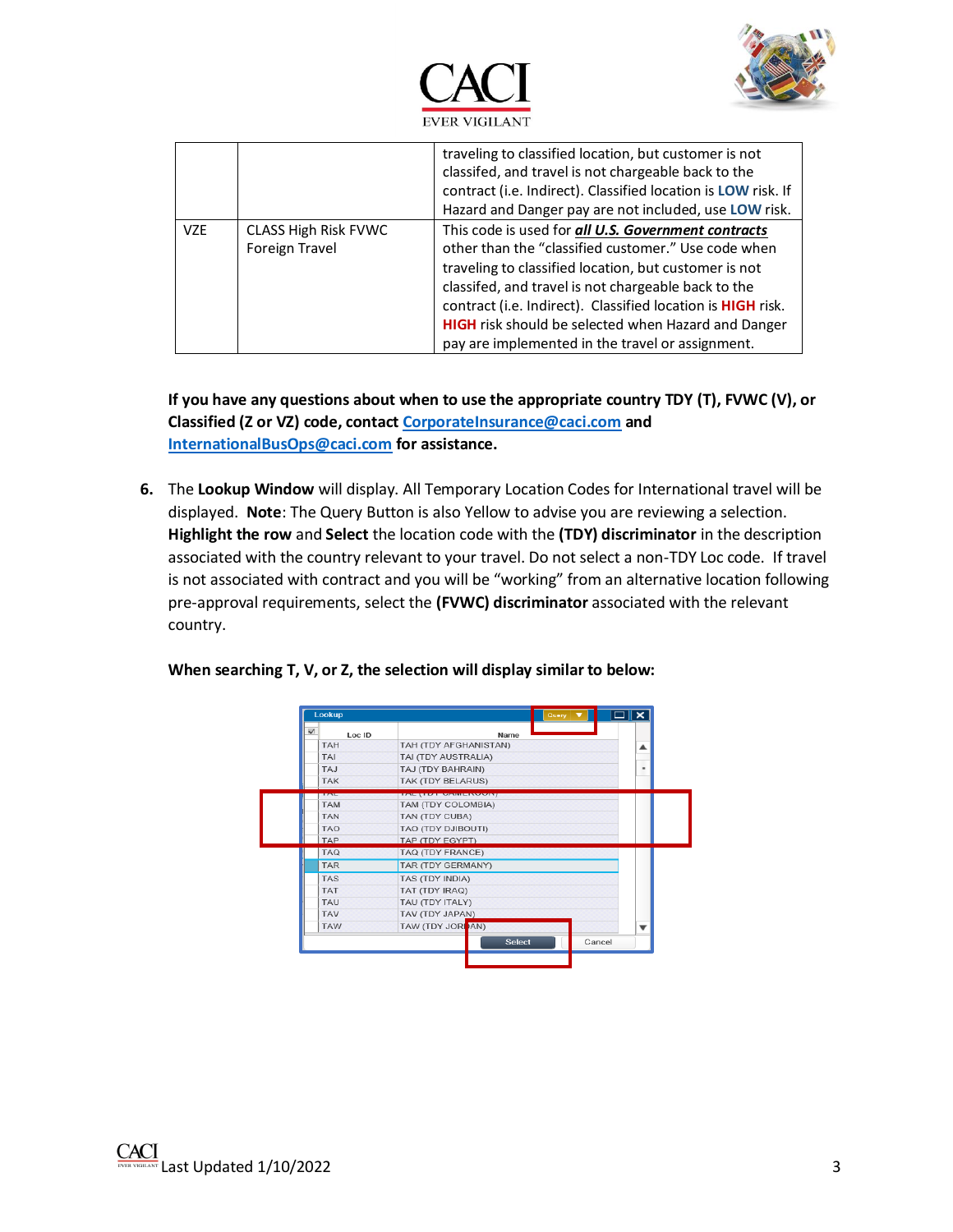



|            |                                        | traveling to classified location, but customer is not<br>classifed, and travel is not chargeable back to the<br>contract (i.e. Indirect). Classified location is LOW risk. If<br>Hazard and Danger pay are not included, use LOW risk.                                                                                                                                                                      |
|------------|----------------------------------------|-------------------------------------------------------------------------------------------------------------------------------------------------------------------------------------------------------------------------------------------------------------------------------------------------------------------------------------------------------------------------------------------------------------|
| <b>VZE</b> | CLASS High Risk FVWC<br>Foreign Travel | This code is used for all U.S. Government contracts<br>other than the "classified customer." Use code when<br>traveling to classified location, but customer is not<br>classifed, and travel is not chargeable back to the<br>contract (i.e. Indirect). Classified location is HIGH risk.<br><b>HIGH</b> risk should be selected when Hazard and Danger<br>pay are implemented in the travel or assignment. |

**If you have any questions about when to use the appropriate country TDY (T), FVWC (V), or Classified (Z or VZ) code, contac[t CorporateInsurance@caci.com](mailto:CorporateInsurance@caci.com) and [InternationalBusOps@caci.com](mailto:InternationalBusOps@caci.com) for assistance.** 

**6.** The **Lookup Window** will display. All Temporary Location Codes for International travel will be displayed. **Note**: The Query Button is also Yellow to advise you are reviewing a selection. **Highlight the row** and **Select** the location code with the **(TDY) discriminator** in the description associated with the country relevant to your travel. Do not select a non-TDY Loc code. If travel is not associated with contract and you will be "working" from an alternative location following pre-approval requirements, select the **(FVWC) discriminator** associated with the relevant country.

| $\overline{\mathbf{v}}$ | Loc ID |                                 | Name   |        |          |
|-------------------------|--------|---------------------------------|--------|--------|----------|
| <b>TAH</b>              |        | TAH (TDY AFGHANISTAN)           |        |        |          |
| <b>TAI</b>              |        | TAI (TDY AUSTRALIA)             |        |        |          |
| TAJ                     |        | TAJ (TDY BAHRAIN)               |        |        | $\equiv$ |
| <b>TAK</b>              |        | TAK (TDY BELARUS)               |        |        |          |
| <b>EXISTEN</b>          |        | <u> FALT TE TE TANGE EN TAN</u> |        |        |          |
| <b>TAM</b>              |        | TAM (TDY COLOMBIA)              |        |        |          |
| <b>TAN</b>              |        | TAN (TDY CUBA)                  |        |        |          |
| <b>TAO</b>              |        | TAO (TDY DJIBOUTI)              |        |        |          |
| <b>TAP</b>              |        | TAP (TDY EGYPT)                 |        |        |          |
| <b>TAQ</b>              |        | TAQ (TDY FRANCE)                |        |        |          |
| <b>TAR</b>              |        | TAR (TDY GERMANY)               |        |        |          |
| <b>TAS</b>              |        | TAS (TDY INDIA)                 |        |        |          |
| <b>TAT</b>              |        | TAT (TDY IRAQ)                  |        |        |          |
| TAU                     |        | TAU (TDY ITALY)                 |        |        |          |
| <b>TAV</b>              |        | TAV (TDY JAPAN)                 |        |        |          |
| <b>TAW</b>              |        | TAW (TDY JORDAN)                |        |        |          |
|                         |        |                                 | Select | Cancel |          |

**When searching T, V, or Z, the selection will display similar to below:**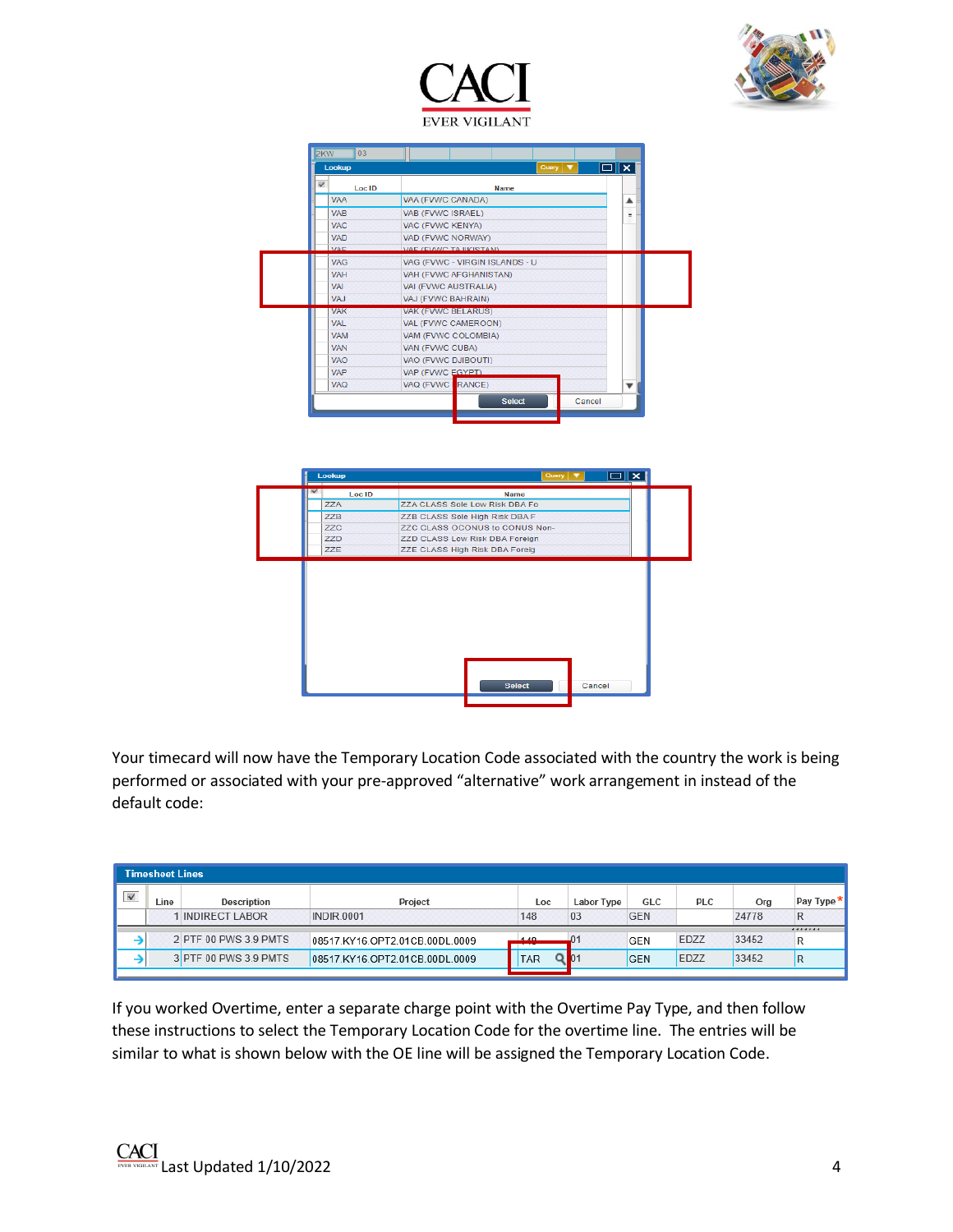



| $\overline{\mathbf{v}}$ | Loc ID     | <b>Name</b>                    |          |
|-------------------------|------------|--------------------------------|----------|
|                         | <b>VAA</b> | VAA (FVWC CANADA)              | ▴        |
|                         | <b>VAB</b> | <b>VAB (FVWC ISRAEL)</b>       | $\equiv$ |
|                         | <b>VAC</b> | VAC (FVWC KENYA)               |          |
|                         | <b>VAD</b> | VAD (FVWC NORWAY)              |          |
|                         | MAE.       | VAE (EVANC TA IIKISTAN)        |          |
|                         | <b>VAG</b> | VAG (FVWC - VIRGIN ISLANDS - U |          |
|                         | <b>VAH</b> | VAH (FVWC AFGHANISTAN)         |          |
|                         | VAI        | VAI (FVWC AUSTRALIA)           |          |
|                         | VA.I       | VAJ (FVWC BAHRAIN)             |          |
|                         | <b>VAK</b> | <b>VAK (FVWC BELARUS)</b>      |          |
|                         | VAL        | VAL (FVWC CAMEROON)            |          |
|                         | <b>VAM</b> | VAM (FVWC COLOMBIA)            |          |
|                         | <b>VAN</b> | VAN (FVWC CUBA)                |          |
|                         | <b>VAO</b> | VAO (FVWC DJIBOUTI)            |          |
|                         | <b>VAP</b> | VAP (FVWC EGYPT)               |          |
|                         | <b>VAO</b> | VAQ (FVWC   RANCE)             |          |



Your timecard will now have the Temporary Location Code associated with the country the work is being performed or associated with your pre-approved "alternative" work arrangement in instead of the default code:

|                         | Timesheet Lines |                       |                                |      |            |            |            |       |                |
|-------------------------|-----------------|-----------------------|--------------------------------|------|------------|------------|------------|-------|----------------|
| $\overline{\mathbf{v}}$ | Line            | Description           | Project                        | Loc  | Labor Type | GLC        | <b>PLC</b> | Org   | Pay Type *     |
|                         |                 | <b>INDIRECT LABOR</b> | <b>INDIR.0001</b>              | 148  | 03         | <b>GEN</b> |            | 24778 | R              |
|                         |                 |                       |                                |      |            |            |            |       |                |
|                         |                 | 2 PTF 00 PWS 3.9 PMTS | 08517.KY16.OPT2.01CB.00DL.0009 | 4.40 |            | <b>GEN</b> | EDZZ       | 33452 | R              |
|                         |                 | 3 PTF 00 PWS 3.9 PMTS | 08517.KY16.OPT2.01CB.00DL.0009 | TAR  |            | <b>GEN</b> | EDZZ       | 33452 | $\overline{R}$ |
|                         |                 |                       |                                |      |            |            |            |       |                |

If you worked Overtime, enter a separate charge point with the Overtime Pay Type, and then follow these instructions to select the Temporary Location Code for the overtime line. The entries will be similar to what is shown below with the OE line will be assigned the Temporary Location Code.